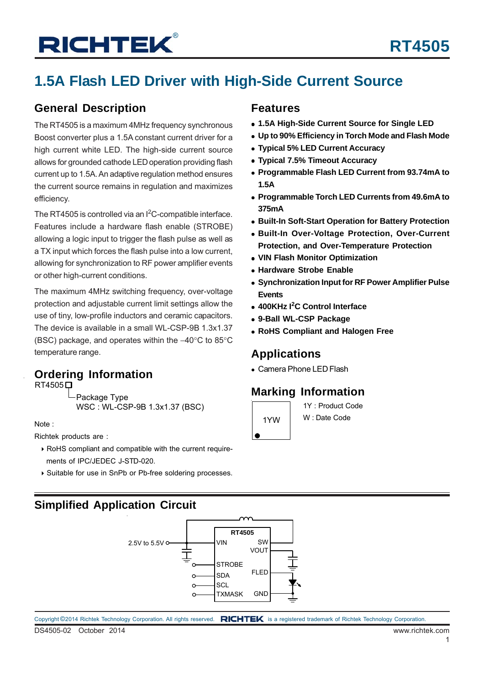## **1.5A Flash LED Driver with High-Side Current Source**

### **General Description**

The RT4505 is a maximum 4MHz frequency synchronous Boost converter plus a 1.5A constant current driver for a high current white LED. The high-side current source allows for grounded cathode LED operation providing flash current up to 1.5A. An adaptive regulation method ensures the current source remains in regulation and maximizes efficiency.

The RT4505 is controlled via an  $1<sup>2</sup>C$ -compatible interface. Features include a hardware flash enable (STROBE) allowing a logic input to trigger the flash pulse as well as a TX input which forces the flash pulse into a low current, allowing for synchronization to RF power amplifier events or other high-current conditions.

The maximum 4MHz switching frequency, over-voltage protection and adjustable current limit settings allow the use of tiny, low-profile inductors and ceramic capacitors. The device is available in a small WL-CSP-9B 1.3x1.37 (BSC) package, and operates within the −40°C to 85°C temperature range.

# **Ordering Information**<br>RT4505<sup> $\Box$ </sup>

-Package Type WSC : WL-CSP-9B 1.3x1.37 (BSC)

Note :

Richtek products are :

- RoHS compliant and compatible with the current require ments of IPC/JEDEC J-STD-020.
- Suitable for use in SnPb or Pb-free soldering processes.

### **Features**

- **1.5A High-Side Current Source for Single LED**
- **Up to 90% Efficiency in Torch Mode and Flash Mode**
- **Typical 5% LED Current Accuracy**
- **Typical 7.5% Timeout Accuracy**
- **Programmable Flash LED Current from 93.74mA to 1.5A**
- **Programmable Torch LED Currents from 49.6mA to 375mA**
- **Built-In Soft-Start Operation for Battery Protection**
- **Built-In Over-Voltage Protection, Over-Current Protection, and Over-Temperature Protection**
- **VIN Flash Monitor Optimization**
- **Hardware Strobe Enable**
- **Synchronization Input for RF Power Amplifier Pulse Events**
- **400KHz I<sup>2</sup> C Control Interface**
- **9-Ball WL-CSP Package**
- **RoHS Compliant and Halogen Free**

### **Applications**

### **Marking Information**



1Y : Product Code W : Date Code

## **Simplified Application Circuit**

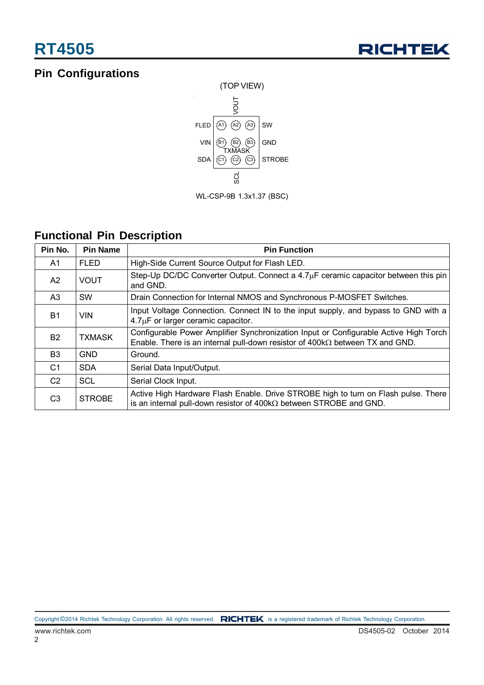## **Pin Configurations**



WL-CSP-9B 1.3x1.37 (BSC)

## **Functional Pin Description**

| Pin No.        | <b>Pin Name</b> | <b>Pin Function</b>                                                                                                                                                         |
|----------------|-----------------|-----------------------------------------------------------------------------------------------------------------------------------------------------------------------------|
| A1             | <b>FLED</b>     | High-Side Current Source Output for Flash LED.                                                                                                                              |
| A2             | <b>VOUT</b>     | Step-Up DC/DC Converter Output. Connect a $4.7\mu$ F ceramic capacitor between this pin<br>and GND.                                                                         |
| A <sub>3</sub> | <b>SW</b>       | Drain Connection for Internal NMOS and Synchronous P-MOSFET Switches.                                                                                                       |
| <b>B1</b>      | <b>VIN</b>      | Input Voltage Connection. Connect IN to the input supply, and bypass to GND with a<br>$4.7\mu$ F or larger ceramic capacitor.                                               |
| <b>B2</b>      | <b>TXMASK</b>   | Configurable Power Amplifier Synchronization Input or Configurable Active High Torch<br>Enable. There is an internal pull-down resistor of $400k\Omega$ between TX and GND. |
| B <sub>3</sub> | <b>GND</b>      | Ground.                                                                                                                                                                     |
| C <sub>1</sub> | <b>SDA</b>      | Serial Data Input/Output.                                                                                                                                                   |
| C <sub>2</sub> | <b>SCL</b>      | Serial Clock Input.                                                                                                                                                         |
| C <sub>3</sub> | <b>STROBE</b>   | Active High Hardware Flash Enable. Drive STROBE high to turn on Flash pulse. There<br>is an internal pull-down resistor of $400k\Omega$ between STROBE and GND.             |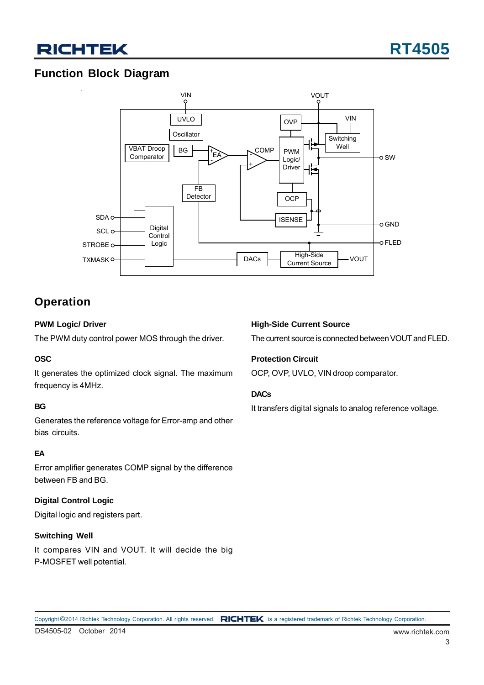## **Function Block Diagram**



## **Operation**

### **PWM Logic/ Driver**

The PWM duty control power MOS through the driver.

#### **OSC**

It generates the optimized clock signal. The maximum frequency is 4MHz.

#### **BG**

Generates the reference voltage for Error-amp and other bias circuits.

#### **EA**

Error amplifier generates COMP signal by the difference between FB and BG.

### **Digital Control Logic**

Digital logic and registers part.

#### **Switching Well**

It compares VIN and VOUT. It will decide the big P-MOSFET well potential.

#### **High-Side Current Source**

The current source is connected between VOUT and FLED.

#### **Protection Circuit**

OCP, OVP, UVLO, VIN droop comparator.

#### **DACs**

It transfers digital signals to analog reference voltage.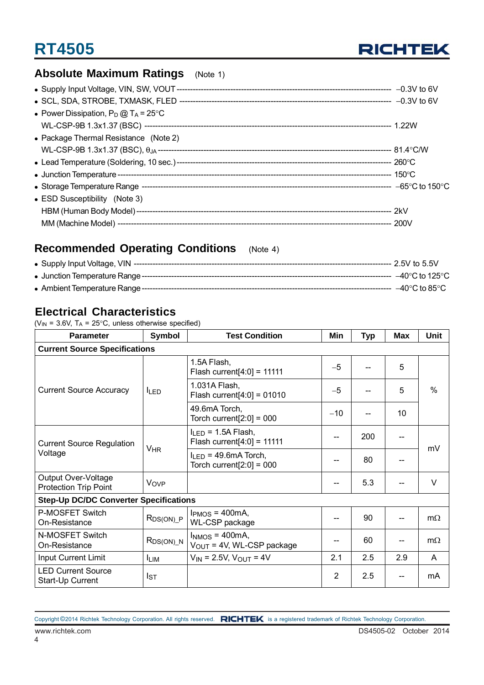

## **RT4505**

## **Absolute Maximum Ratings** (Note 1)

| • Power Dissipation, $P_D @ T_A = 25^{\circ}C$ |  |
|------------------------------------------------|--|
|                                                |  |
| • Package Thermal Resistance (Note 2)          |  |
|                                                |  |
|                                                |  |
|                                                |  |
|                                                |  |
| • ESD Susceptibility (Note 3)                  |  |
|                                                |  |
|                                                |  |

## **Recommended Operating Conditions** (Note 4)

|  | ---- –40°C to 85°C . |
|--|----------------------|

### **Electrical Characteristics**

( $V_{IN}$  = 3.6V, T<sub>A</sub> = 25°C, unless otherwise specified)

| <b>Parameter</b>                                    | Symbol                | <b>Test Condition</b>                                    | Min            | <b>Typ</b> | <b>Max</b> | <b>Unit</b>   |  |  |  |  |  |
|-----------------------------------------------------|-----------------------|----------------------------------------------------------|----------------|------------|------------|---------------|--|--|--|--|--|
| <b>Current Source Specifications</b>                |                       |                                                          |                |            |            |               |  |  |  |  |  |
|                                                     |                       | 1.5A Flash,<br>Flash current $[4:0] = 11111$             | $-5$           |            | 5          |               |  |  |  |  |  |
| <b>Current Source Accuracy</b>                      | <b>ILED</b>           | 1.031A Flash,<br>Flash current $[4:0] = 01010$           | $-5$           |            | 5          | $\frac{0}{0}$ |  |  |  |  |  |
|                                                     |                       | 49.6mA Torch,<br>Torch current $[2:0] = 000$             | $-10$          |            | 10         |               |  |  |  |  |  |
| <b>Current Source Regulation</b><br>Voltage         |                       | $I_{LED}$ = 1.5A Flash,<br>Flash current $[4:0] = 11111$ |                | 200        |            | mV            |  |  |  |  |  |
|                                                     | <b>V<sub>HR</sub></b> | $I_{LED}$ = 49.6mA Torch,<br>Torch current $[2:0] = 000$ |                | 80         |            |               |  |  |  |  |  |
| Output Over-Voltage<br><b>Protection Trip Point</b> | Vove                  |                                                          |                | 5.3        |            | $\vee$        |  |  |  |  |  |
| <b>Step-Up DC/DC Converter Specifications</b>       |                       |                                                          |                |            |            |               |  |  |  |  |  |
| P-MOSFET Switch<br>On-Resistance                    | $R_{DS(ON)}P$         | $I_{PMOS}$ = 400mA,<br>WL-CSP package                    |                | 90         |            | $m\Omega$     |  |  |  |  |  |
| N-MOSFET Switch<br>On-Resistance                    | $R_{DS(ON)\_N}$       | $INMOS = 400mA,$<br>$V_{OUT}$ = 4V, WL-CSP package       |                | 60         |            | $m\Omega$     |  |  |  |  |  |
| Input Current Limit                                 | <b>LIM</b>            | $V_{IN}$ = 2.5V, $V_{OUT}$ = 4V                          | 2.1            | 2.5        | 2.9        | A             |  |  |  |  |  |
| <b>LED Current Source</b><br>Start-Up Current       | $I_{ST}$              |                                                          | $\overline{2}$ | 2.5        |            | mA            |  |  |  |  |  |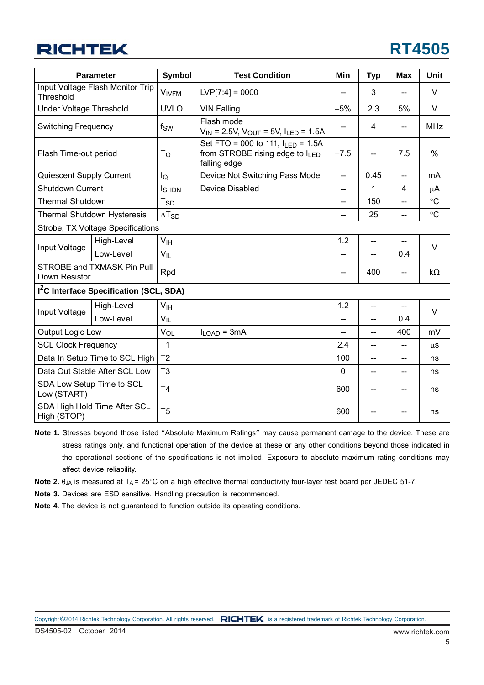|                                    | <b>Parameter</b>                                    | Symbol          | <b>Test Condition</b>                                                                          | Min          | <b>Typ</b>               | <b>Max</b>               | <b>Unit</b> |  |
|------------------------------------|-----------------------------------------------------|-----------------|------------------------------------------------------------------------------------------------|--------------|--------------------------|--------------------------|-------------|--|
| Threshold                          | Input Voltage Flash Monitor Trip                    | <b>VIVFM</b>    | $LVP[7:4] = 0000$                                                                              |              | 3                        |                          | $\vee$      |  |
| Under Voltage Threshold            |                                                     | <b>UVLO</b>     | <b>VIN Falling</b>                                                                             | $-5%$        | 2.3                      | 5%                       | $\vee$      |  |
| <b>Switching Frequency</b>         |                                                     | f <sub>SW</sub> | Flash mode<br>$V_{IN}$ = 2.5V, $V_{OUT}$ = 5V, $I_{LED}$ = 1.5A                                |              | 4                        | --                       | <b>MHz</b>  |  |
| Flash Time-out period              |                                                     | T <sub>o</sub>  | Set FTO = 000 to 111, $I_{LED} = 1.5A$<br>from STROBE rising edge to $I_{LED}$<br>falling edge | $-7.5$       | $\overline{\phantom{a}}$ | 7.5                      | $\%$        |  |
| Quiescent Supply Current           |                                                     | lQ              | Device Not Switching Pass Mode                                                                 | --           | 0.45                     | $\overline{\phantom{a}}$ | mA          |  |
| Shutdown Current                   |                                                     | <b>I</b> SHDN   | Device Disabled                                                                                | --           | 1                        | 4                        | μA          |  |
| <b>Thermal Shutdown</b>            |                                                     | $T_{SD}$        |                                                                                                | --           | 150                      | --                       | $\circ$ C   |  |
| <b>Thermal Shutdown Hysteresis</b> |                                                     | $\Delta T_{SD}$ |                                                                                                | --           | 25                       | --                       | $\circ$ C   |  |
|                                    | Strobe, TX Voltage Specifications                   |                 |                                                                                                |              |                          |                          |             |  |
|                                    | High-Level                                          | V <sub>IH</sub> |                                                                                                | 1.2          | $\overline{\phantom{a}}$ |                          | $\vee$      |  |
| Input Voltage                      | Low-Level                                           | $V_{IL}$        |                                                                                                | $-$          | $-$                      | 0.4                      |             |  |
| Down Resistor                      | STROBE and TXMASK Pin Pull                          | Rpd             |                                                                                                | --           | 400                      | --                       | $k\Omega$   |  |
|                                    | I <sup>2</sup> C Interface Specification (SCL, SDA) |                 |                                                                                                |              |                          |                          |             |  |
|                                    | High-Level                                          | V <sub>IH</sub> |                                                                                                | 1.2          | $\overline{a}$           | --                       |             |  |
| Input Voltage                      | Low-Level                                           | $V_{IL}$        |                                                                                                | --           | --                       | 0.4                      | $\vee$      |  |
| Output Logic Low                   |                                                     | VOL             | $I_{LOAD} = 3mA$                                                                               | --           | $\overline{a}$           | 400                      | mV          |  |
| <b>SCL Clock Frequency</b>         |                                                     | T <sub>1</sub>  |                                                                                                | 2.4          | --                       |                          | $\mu$ S     |  |
|                                    | Data In Setup Time to SCL High                      | T <sub>2</sub>  |                                                                                                | 100          | $\overline{a}$           | --                       | ns          |  |
|                                    | Data Out Stable After SCL Low                       | T <sub>3</sub>  |                                                                                                | $\mathbf{0}$ | $\overline{\phantom{a}}$ | --                       | ns          |  |
| Low (START)                        | SDA Low Setup Time to SCL                           | T <sub>4</sub>  |                                                                                                | 600          |                          | --                       | ns          |  |
| High (STOP)                        | SDA High Hold Time After SCL                        | T <sub>5</sub>  |                                                                                                | 600          |                          |                          | ns          |  |

**Note 1.** Stresses beyond those listed "Absolute Maximum Ratings" may cause permanent damage to the device. These are stress ratings only, and functional operation of the device at these or any other conditions beyond those indicated in the operational sections of the specifications is not implied. Exposure to absolute maximum rating conditions may affect device reliability.

**Note 2.**  $\theta_{JA}$  is measured at  $T_A = 25^\circ \text{C}$  on a high effective thermal conductivity four-layer test board per JEDEC 51-7.

**Note 3.** Devices are ESD sensitive. Handling precaution is recommended.

**Note 4.** The device is not guaranteed to function outside its operating conditions.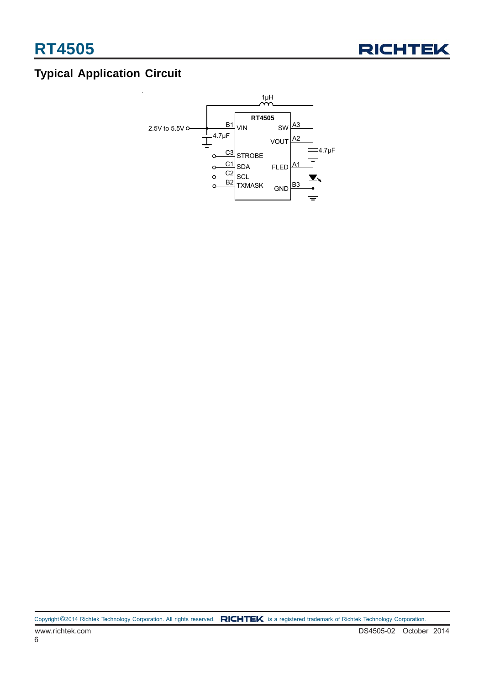

## **Typical Application Circuit**

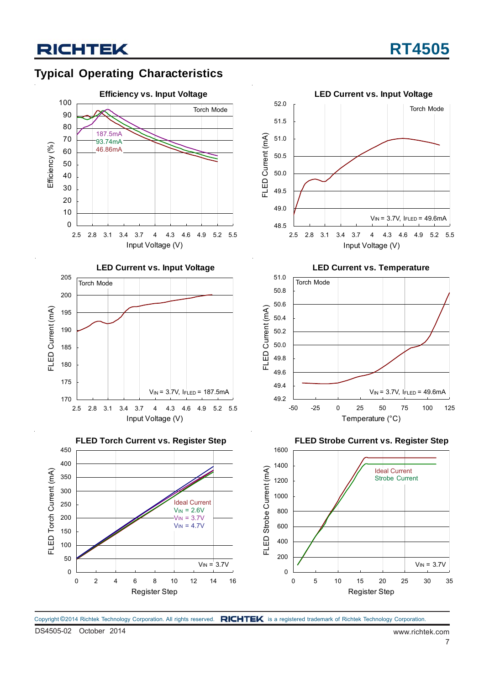## **Typical Operating Characteristics**



Copyright ©2014 Richtek Technology Corporation. All rights reserved. RICHTEK is a registered trademark of Richtek Technology Corporation.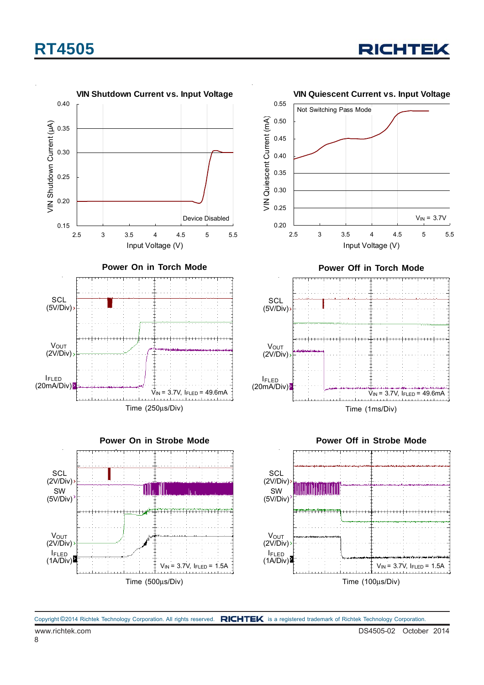## **RT4505**



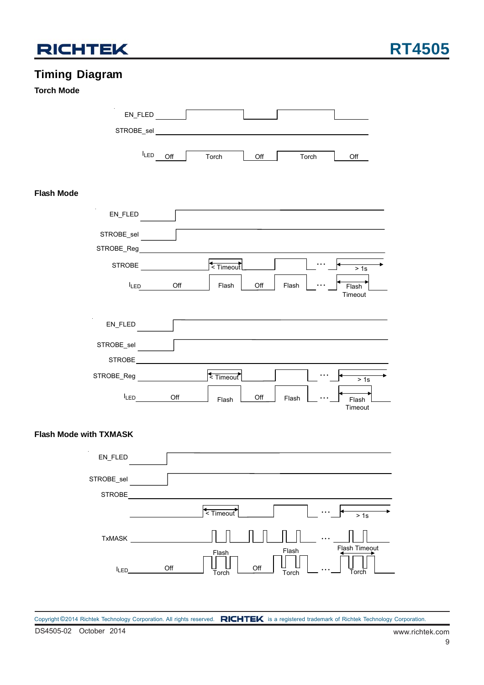

## **Timing Diagram**

### **Torch Mode**

| EN_FLED                       |                                           |
|-------------------------------|-------------------------------------------|
| STROBE_sel                    |                                           |
| $I_{LED}$<br>Off              | Torch<br>Off<br>Torch<br>Off              |
| <b>Flash Mode</b>             |                                           |
| EN_FLED                       |                                           |
| STROBE_sel<br>STROBE_Reg      |                                           |
| <b>STROBE</b>                 | < Timeout<br>> 1s                         |
| <b>ILED</b><br>Off            | Off<br>Flash<br>Flash<br>Flash<br>Timeout |
| EN_FLED                       |                                           |
| STROBE_sel<br><b>STROBE</b>   |                                           |
| STROBE_Reg                    | <timeout<br>&gt; 1s</timeout<br>          |
| $I_{LED}$<br>Off              | Off<br>Flash<br>Flash<br>Flash<br>Timeout |
| <b>Flash Mode with TXMASK</b> |                                           |
| EN_FLED                       |                                           |
| STROBE_sel<br>STROBE          |                                           |
|                               | $\leq$ Timeout<br>$\frac{1}{2}$ 1s        |
| TxMASK                        | Flash Timeout<br>Flash<br>Flash           |

**Torch** 

…

Flash Off  $\bigcup_{\tau_{\text{sub}}}$   $\bigcup$  off

Torch

ILED\_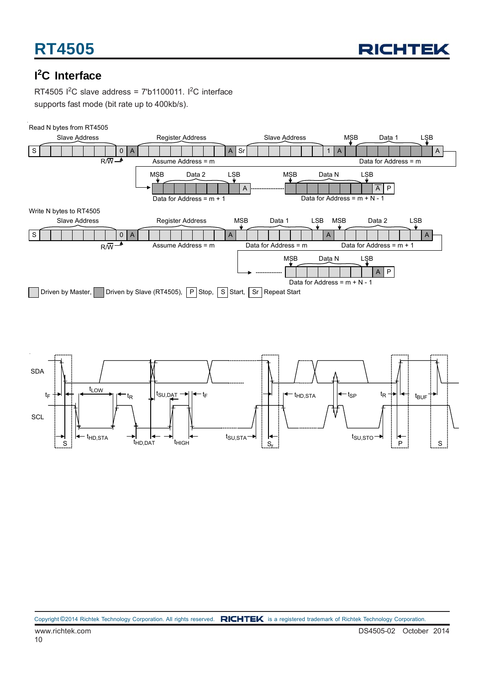

## **I 2 C Interface**

RT4505  $1^2C$  slave address = 7'b1100011.  $1^2C$  interface supports fast mode (bit rate up to 400kb/s).



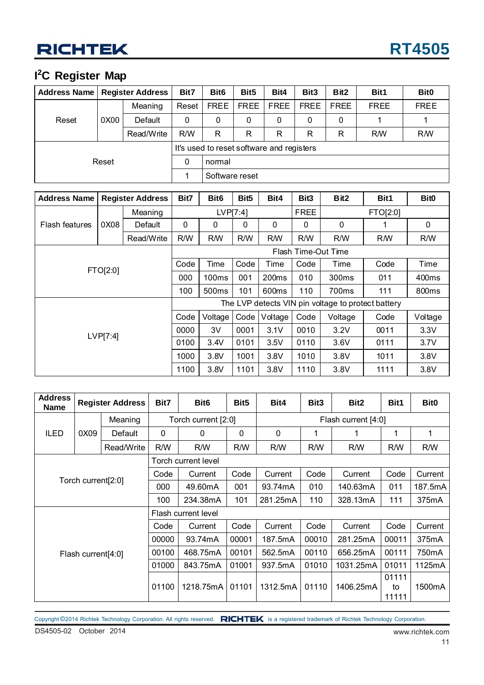### **I 2 C Register Map**

| Address Name   Register Address |      | Bit7                                      | Bit <sub>6</sub> | Bit <sub>5</sub> | Bit4        | Bit <sub>3</sub> | Bit <sub>2</sub> | Bit1        | Bit <sub>0</sub> |             |
|---------------------------------|------|-------------------------------------------|------------------|------------------|-------------|------------------|------------------|-------------|------------------|-------------|
| Reset                           | 0X00 | Meaning                                   | Reset            | <b>FREE</b>      | <b>FREE</b> | <b>FREE</b>      | <b>FREE</b>      | <b>FREE</b> | <b>FREE</b>      | <b>FREE</b> |
|                                 |      | Default                                   | 0                | 0                | 0           | 0                | 0                | 0           |                  |             |
|                                 |      | Read/Write                                | R/W              | R                | R           | R                | R                | R           | <b>RM</b>        | <b>RM</b>   |
|                                 |      | It's used to reset software and registers |                  |                  |             |                  |                  |             |                  |             |
| Reset                           | 0    | normal                                    |                  |                  |             |                  |                  |             |                  |             |
|                                 |      | Software reset                            |                  |                  |             |                  |                  |             |                  |             |

| <b>Register Address</b><br><b>Address Name</b> |          | Bit7       | Bit <sub>6</sub>                                   | Bit <sub>5</sub> | Bit4         | Bit <sub>3</sub>    | Bit <sub>2</sub> | Bit1              | Bit <sub>0</sub> |                   |  |
|------------------------------------------------|----------|------------|----------------------------------------------------|------------------|--------------|---------------------|------------------|-------------------|------------------|-------------------|--|
|                                                |          | Meaning    |                                                    |                  | LVP[7:4]     |                     | <b>FREE</b>      |                   | FTO[2:0]         |                   |  |
| <b>Flash features</b>                          | 0X08     | Default    | 0                                                  | 0                | $\mathbf{0}$ | 0                   | $\Omega$         | 0                 |                  | 0                 |  |
|                                                |          | Read/Write | R/W                                                | <b>RM</b>        | R/W          | <b>RW</b>           | R/W              | R/W               | R <sub>M</sub>   | R/W               |  |
|                                                |          |            |                                                    |                  |              | Flash Time-Out Time |                  |                   |                  |                   |  |
|                                                | FTO[2:0] |            | Code                                               | Time             | Code         | Time                | Code             | Time              | Code             | Time              |  |
|                                                |          |            | 000                                                | 100ms            | 001          | 200 <sub>ms</sub>   | 010              | 300 <sub>ms</sub> | 011              | 400ms             |  |
|                                                |          |            | 100                                                | 500ms            | 101          | 600ms               | 110              | 700ms             | 111              | 800 <sub>ms</sub> |  |
|                                                |          |            | The LVP detects VIN pin voltage to protect battery |                  |              |                     |                  |                   |                  |                   |  |
|                                                |          |            | Code                                               | Voltage          | Code         | Voltage             | Code             | Voltage           | Code             | Voltage           |  |
|                                                | LVP[7:4] |            | 0000                                               | 3V               | 0001         | 3.1V                | 0010             | 3.2V              | 0011             | 3.3V              |  |
|                                                | 0100     | 3.4V       | 0101                                               | 3.5V             | 0110         | 3.6V                | 0111             | 3.7V              |                  |                   |  |
|                                                | 1000     | 3.8V       | 1001                                               | 3.8V             | 1010         | 3.8V                | 1011             | 3.8V              |                  |                   |  |
|                                                |          |            |                                                    |                  | 1101         | 3.8V                | 1110             | 3.8V              | 1111             | 3.8V              |  |

| <b>Address</b><br><b>Name</b> | <b>Register Address</b> |            | Bit7                | Bit <sub>6</sub>    | Bit <sub>5</sub> | Bit4                | Bit <sub>3</sub> | Bit <sub>2</sub> | Bit1                 | <b>Bit0</b> |  |  |
|-------------------------------|-------------------------|------------|---------------------|---------------------|------------------|---------------------|------------------|------------------|----------------------|-------------|--|--|
|                               |                         | Meaning    |                     | Torch current [2:0] |                  | Flash current [4:0] |                  |                  |                      |             |  |  |
| <b>ILED</b>                   | 0X09                    | Default    | $\mathbf{0}$        | 0                   | 0                | 0                   | 1                | 1                |                      | 1           |  |  |
|                               |                         | Read/Write | R/W                 | R/W                 | R/W              | R/W                 | R/W              | R/W              | R/W                  | R/W         |  |  |
|                               |                         |            |                     | Torch current level |                  |                     |                  |                  |                      |             |  |  |
|                               | Torch current[2:0]      |            | Code                | Current             | Code             | Current             | Code             | Current          | Code                 | Current     |  |  |
|                               |                         |            | 000                 | 49.60mA             | 001              | 93.74mA             | 010              | 140.63mA         | 011                  | 187.5mA     |  |  |
|                               |                         |            | 100                 | 234.38mA            | 101              | 281.25mA            | 110              | 328.13mA         | 111                  | 375mA       |  |  |
|                               |                         |            | Flash current level |                     |                  |                     |                  |                  |                      |             |  |  |
|                               |                         |            | Code                | Current             | Code             | Current             | Code             | Current          | Code                 | Current     |  |  |
|                               |                         |            | 00000               | 93.74mA             | 00001            | 187.5mA             | 00010            | 281.25mA         | 00011                | 375mA       |  |  |
|                               | Flash current[4:0]      |            | 00100               | 468.75mA            | 00101            | 562.5mA             | 00110            | 656.25mA         | 00111                | 750mA       |  |  |
|                               |                         |            | 01000               | 843.75mA            | 01001            | 937.5mA             | 01010            | 1031.25mA        | 01011                | 1125mA      |  |  |
|                               |                         |            | 01100               | 1218.75mA           | 01101            | 1312.5mA            | 01110            | 1406.25mA        | 01111<br>to<br>11111 | 1500mA      |  |  |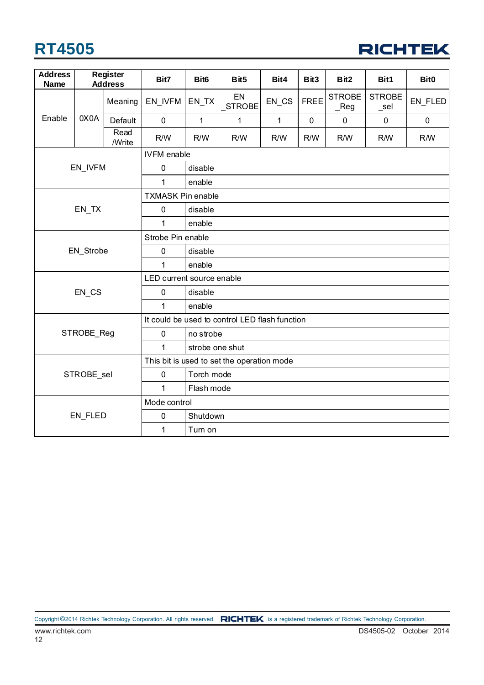## **RT4505**



| <b>Address</b><br><b>Name</b> |            | <b>Register</b><br><b>Address</b> | Bit7                      | Bit <sub>6</sub> | Bit5                                           | Bit4         | Bit3        | Bit <sub>2</sub>                            | Bit1                     | Bit <sub>0</sub> |  |  |  |
|-------------------------------|------------|-----------------------------------|---------------------------|------------------|------------------------------------------------|--------------|-------------|---------------------------------------------|--------------------------|------------------|--|--|--|
|                               |            | Meaning                           | EN_IVFM                   | EN_TX            | EN<br>_STROBE                                  | EN_CS        | <b>FREE</b> | <b>STROBE</b><br>$\vphantom{\text{1}}$ -Reg | <b>STROBE</b><br>$\_sel$ | EN_FLED          |  |  |  |
| Enable                        | 0X0A       | Default                           | $\pmb{0}$                 | $\mathbf{1}$     | 1                                              | $\mathbf{1}$ | $\pmb{0}$   | $\mathbf 0$                                 | $\mathbf 0$              | $\pmb{0}$        |  |  |  |
|                               |            | Read<br>/Write                    | R/W                       | R/W              | R/W                                            | R/W          | R/W         | R/W                                         | <b>R/W</b>               | <b>RM</b>        |  |  |  |
|                               |            |                                   | <b>IVFM</b> enable        |                  |                                                |              |             |                                             |                          |                  |  |  |  |
|                               | EN_IVFM    |                                   | $\mathbf 0$               | disable          |                                                |              |             |                                             |                          |                  |  |  |  |
|                               |            |                                   | 1                         | enable           |                                                |              |             |                                             |                          |                  |  |  |  |
|                               |            |                                   | <b>TXMASK Pin enable</b>  |                  |                                                |              |             |                                             |                          |                  |  |  |  |
|                               | EN_TX      |                                   | $\mathbf 0$               | disable          |                                                |              |             |                                             |                          |                  |  |  |  |
|                               |            |                                   | 1                         | enable           |                                                |              |             |                                             |                          |                  |  |  |  |
|                               |            |                                   | Strobe Pin enable         |                  |                                                |              |             |                                             |                          |                  |  |  |  |
|                               | EN_Strobe  |                                   | $\mathbf 0$               | disable          |                                                |              |             |                                             |                          |                  |  |  |  |
|                               |            |                                   | $\mathbf{1}$              | enable           |                                                |              |             |                                             |                          |                  |  |  |  |
|                               |            |                                   | LED current source enable |                  |                                                |              |             |                                             |                          |                  |  |  |  |
|                               | EN CS      |                                   | $\mathbf 0$               | disable          |                                                |              |             |                                             |                          |                  |  |  |  |
|                               |            |                                   | 1                         | enable           |                                                |              |             |                                             |                          |                  |  |  |  |
|                               |            |                                   |                           |                  | It could be used to control LED flash function |              |             |                                             |                          |                  |  |  |  |
|                               | STROBE_Reg |                                   | $\pmb{0}$                 | no strobe        |                                                |              |             |                                             |                          |                  |  |  |  |
|                               |            |                                   | $\mathbf{1}$              | strobe one shut  |                                                |              |             |                                             |                          |                  |  |  |  |
|                               |            |                                   |                           |                  | This bit is used to set the operation mode     |              |             |                                             |                          |                  |  |  |  |
|                               | STROBE_sel |                                   | $\pmb{0}$                 | Torch mode       |                                                |              |             |                                             |                          |                  |  |  |  |
|                               |            |                                   | 1                         | Flash mode       |                                                |              |             |                                             |                          |                  |  |  |  |
|                               |            |                                   | Mode control              |                  |                                                |              |             |                                             |                          |                  |  |  |  |
|                               | EN_FLED    |                                   | $\mathbf 0$               | Shutdown         |                                                |              |             |                                             |                          |                  |  |  |  |
|                               |            |                                   | 1                         | Tum on           |                                                |              |             |                                             |                          |                  |  |  |  |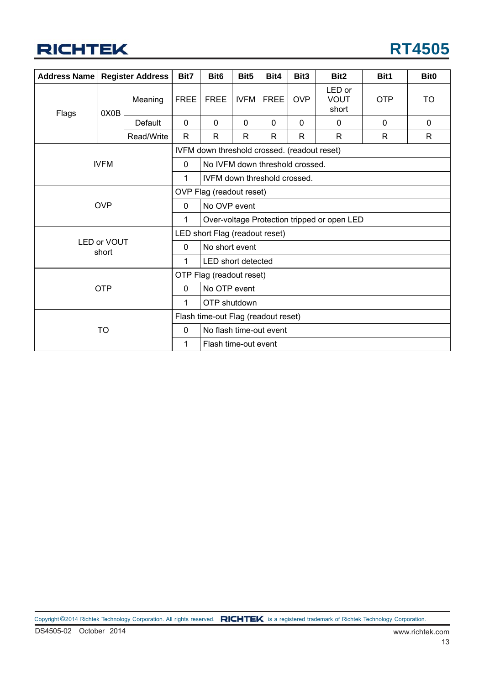## **RT4505**

| <b>Address Name</b> |                      | <b>Register Address</b>  | Bit7                                | Bit <sub>6</sub>                             | Bit <sub>5</sub> | Bit4         | Bit <sub>3</sub> | Bit <sub>2</sub>               | Bit1         | Bit <sub>0</sub> |  |
|---------------------|----------------------|--------------------------|-------------------------------------|----------------------------------------------|------------------|--------------|------------------|--------------------------------|--------------|------------------|--|
| Flags               | 0X0B                 | Meaning                  | <b>FREE</b>                         | <b>FREE</b>                                  | <b>IVFM</b>      | <b>FREE</b>  | <b>OVP</b>       | LED or<br><b>VOUT</b><br>short | <b>OTP</b>   | TO               |  |
|                     |                      | Default                  | $\mathbf 0$                         | $\Omega$                                     | $\Omega$         | $\Omega$     | $\Omega$         | $\mathbf{0}$                   | $\mathbf{0}$ | $\mathbf{0}$     |  |
|                     |                      | Read/Write               | R.                                  | R                                            | R                | $\mathsf{R}$ | $\mathsf{R}$     | R.                             | R            | R                |  |
|                     |                      |                          |                                     | IVFM down threshold crossed. (readout reset) |                  |              |                  |                                |              |                  |  |
|                     | <b>IVFM</b>          |                          | $\mathbf 0$                         | No IVFM down threshold crossed.              |                  |              |                  |                                |              |                  |  |
|                     |                      |                          | 1                                   | IVFM down threshold crossed.                 |                  |              |                  |                                |              |                  |  |
|                     |                      | OVP Flag (readout reset) |                                     |                                              |                  |              |                  |                                |              |                  |  |
|                     | <b>OVP</b>           |                          | $\mathbf 0$                         | No OVP event                                 |                  |              |                  |                                |              |                  |  |
|                     |                      |                          | 1                                   | Over-voltage Protection tripped or open LED  |                  |              |                  |                                |              |                  |  |
|                     |                      |                          | LED short Flag (readout reset)      |                                              |                  |              |                  |                                |              |                  |  |
|                     | LED or VOUT<br>short |                          | $\mathbf 0$                         | No short event                               |                  |              |                  |                                |              |                  |  |
|                     |                      |                          | 1                                   | <b>LED</b> short detected                    |                  |              |                  |                                |              |                  |  |
|                     |                      |                          | OTP Flag (readout reset)            |                                              |                  |              |                  |                                |              |                  |  |
|                     | <b>OTP</b>           |                          | $\mathbf 0$                         | No OTP event                                 |                  |              |                  |                                |              |                  |  |
|                     |                      |                          |                                     | OTP shutdown                                 |                  |              |                  |                                |              |                  |  |
|                     |                      |                          | Flash time-out Flag (readout reset) |                                              |                  |              |                  |                                |              |                  |  |
|                     | <b>TO</b>            |                          | 0                                   | No flash time-out event                      |                  |              |                  |                                |              |                  |  |
|                     |                      |                          | 1                                   | Flash time-out event                         |                  |              |                  |                                |              |                  |  |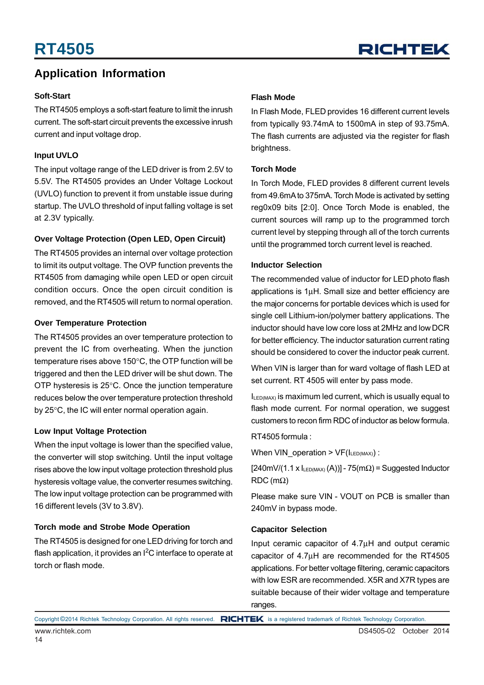## **Application Information**

#### **Soft-Start**

The RT4505 employs a soft-start feature to limit the inrush current. The soft-start circuit prevents the excessive inrush current and input voltage drop.

### **Input UVLO**

The input voltage range of the LED driver is from 2.5V to 5.5V. The RT4505 provides an Under Voltage Lockout (UVLO) function to prevent it from unstable issue during startup. The UVLO threshold of input falling voltage is set at 2.3V typically.

### **Over Voltage Protection (Open LED, Open Circuit)**

The RT4505 provides an internal over voltage protection to limit its output voltage. The OVP function prevents the RT4505 from damaging while open LED or open circuit condition occurs. Once the open circuit condition is removed, and the RT4505 will return to normal operation.

#### **Over Temperature Protection**

The RT4505 provides an over temperature protection to prevent the IC from overheating. When the junction temperature rises above 150°C, the OTP function will be triggered and then the LED driver will be shut down. The OTP hysteresis is 25°C. Once the junction temperature reduces below the over temperature protection threshold by 25°C, the IC will enter normal operation again.

#### **Low Input Voltage Protection**

When the input voltage is lower than the specified value. the converter will stop switching. Until the input voltage rises above the low input voltage protection threshold plus hysteresis voltage value, the converter resumes switching. The low input voltage protection can be programmed with 16 different levels (3V to 3.8V).

#### **Torch mode and Strobe Mode Operation**

The RT4505 is designed for one LED driving for torch and flash application, it provides an I<sup>2</sup>C interface to operate at torch or flash mode.

### **Flash Mode**

In Flash Mode, FLED provides 16 different current levels from typically 93.74mA to 1500mA in step of 93.75mA. The flash currents are adjusted via the register for flash brightness.

#### **Torch Mode**

In Torch Mode, FLED provides 8 different current levels from 49.6mA to 375mA. Torch Mode is activated by setting reg0x09 bits [2:0]. Once Torch Mode is enabled, the current sources will ramp up to the programmed torch current level by stepping through all of the torch currents until the programmed torch current level is reached.

#### **Inductor Selection**

The recommended value of inductor for LED photo flash applications is 1μH. Small size and better efficiency are the major concerns for portable devices which is used for single cell Lithium-ion/polymer battery applications. The inductor should have low core loss at 2MHz and low DCR for better efficiency. The inductor saturation current rating should be considered to cover the inductor peak current.

When VIN is larger than for ward voltage of flash LED at set current. RT 4505 will enter by pass mode.

ILED(MAX) is maximum led current, which is usually equal to flash mode current. For normal operation, we suggest customers to recon firm RDC of inductor as below formula.

RT4505 formula :

When VIN operation >  $VF(I_{LED(MAX)})$ :

 $[240mV/(1.1 x I<sub>LED(MAX)</sub>(A))] - 75(m $\Omega$ ) = Suggested Inductor$ RDC (mΩ)

Please make sure VIN - VOUT on PCB is smaller than 240mV in bypass mode.

#### **Capacitor Selection**

Input ceramic capacitor of 4.7μH and output ceramic capacitor of 4.7μH are recommended for the RT4505 applications. For better voltage filtering, ceramic capacitors with low ESR are recommended. X5R and X7R types are suitable because of their wider voltage and temperature ranges.

Copyright ©2014 Richtek Technology Corporation. All rights reserved. RICHTEK is a registered trademark of Richtek Technology Corporation.

## **RICHTEK**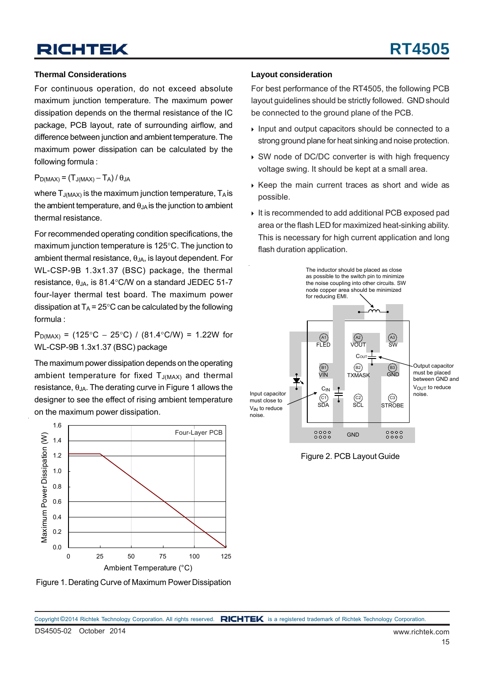#### **Thermal Considerations**

For continuous operation, do not exceed absolute maximum junction temperature. The maximum power dissipation depends on the thermal resistance of the IC package, PCB layout, rate of surrounding airflow, and difference between junction and ambient temperature. The maximum power dissipation can be calculated by the following formula :

#### $P_{D(MAX)} = (T_{J(MAX)} - T_A)/\theta_{JA}$

where  $T_{J(MAX)}$  is the maximum junction temperature,  $T_A$  is the ambient temperature, and  $\theta_{JA}$  is the junction to ambient thermal resistance.

For recommended operating condition specifications, the maximum junction temperature is 125°C. The junction to ambient thermal resistance,  $\theta_{\text{JA}}$ , is layout dependent. For WL-CSP-9B 1.3x1.37 (BSC) package, the thermal resistance,  $\theta_{JA}$ , is 81.4°C/W on a standard JEDEC 51-7 four-layer thermal test board. The maximum power dissipation at  $T_A = 25^\circ \text{C}$  can be calculated by the following formula :

 $P_{D(MAX)}$  = (125°C − 25°C) / (81.4°C/W) = 1.22W for WL-CSP-9B 1.3x1.37 (BSC) package

The maximum power dissipation depends on the operating ambient temperature for fixed  $T_{J(MAX)}$  and thermal resistance,  $\theta_{JA}$ . The derating curve in Figure 1 allows the designer to see the effect of rising ambient temperature on the maximum power dissipation.



Figure 1. Derating Curve of Maximum Power Dissipation

#### **Layout consideration**

For best performance of the RT4505, the following PCB layout guidelines should be strictly followed. GND should be connected to the ground plane of the PCB.

- Input and output capacitors should be connected to a strong ground plane for heat sinking and noise protection.
- SW node of DC/DC converter is with high frequency voltage swing. It should be kept at a small area.
- $\triangleright$  Keep the main current traces as short and wide as possible.
- It is recommended to add additional PCB exposed pad area or the flash LED for maximized heat-sinking ability. This is necessary for high current application and long flash duration application.



Figure 2. PCB Layout Guide